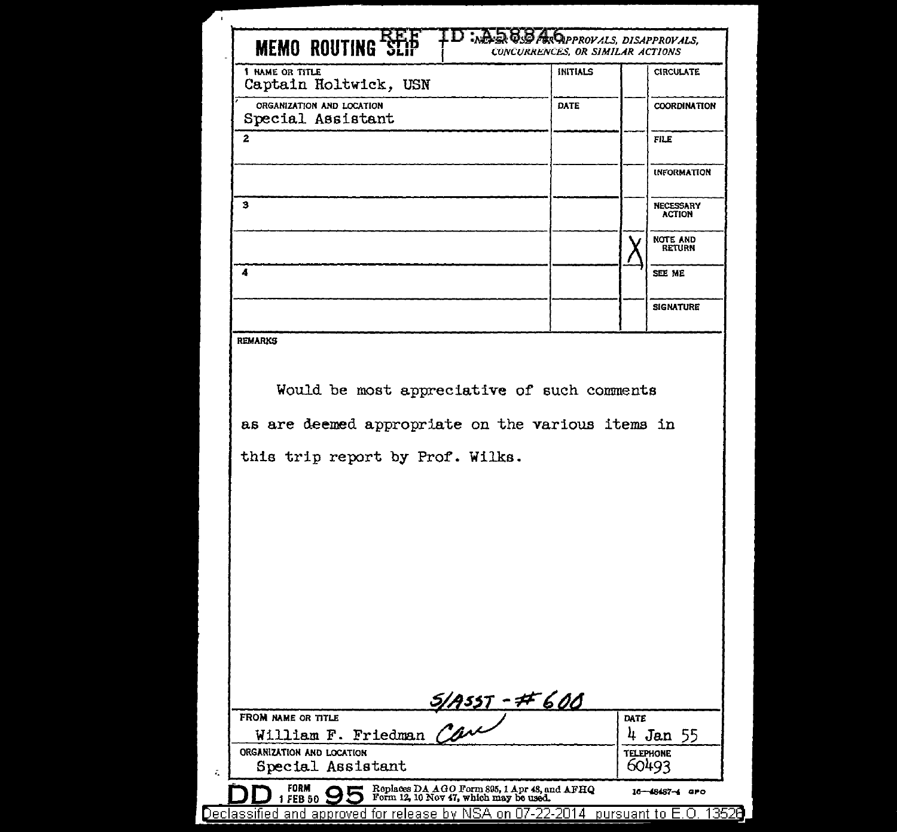| <b>MEMO ROUTING *3</b>                                                                                                               | <b>CONCURRENCES, OR SIMILAR ACTIONS</b> |                                   |
|--------------------------------------------------------------------------------------------------------------------------------------|-----------------------------------------|-----------------------------------|
| 1 NAME OR TITLE<br>Captain Holtwick, USN                                                                                             | <b>INITIALS</b>                         | <b>CIRCULATE</b>                  |
| ORGANIZATION AND LOCATION<br>Special Assistant                                                                                       | DATE                                    | <b>COORDINATION</b>               |
| $\overline{a}$                                                                                                                       |                                         | <b>FILE</b>                       |
|                                                                                                                                      |                                         | <b>INFORMATION</b>                |
| з                                                                                                                                    |                                         | <b>NECESSARY</b><br><b>ACTION</b> |
|                                                                                                                                      |                                         | <b>NOTE AND</b><br><b>RETURN</b>  |
| 4                                                                                                                                    |                                         | SEE ME                            |
|                                                                                                                                      |                                         | <b>SIGNATURE</b>                  |
| <b>REMARKS</b>                                                                                                                       |                                         |                                   |
| Would be most appreciative of such comments<br>as are deemed appropriate on the various items in<br>this trip report by Prof. Wilks. |                                         |                                   |
|                                                                                                                                      |                                         |                                   |
|                                                                                                                                      |                                         |                                   |
| FROM NAME OR TITLE                                                                                                                   |                                         | DATE                              |
| UM NAME OR TITLE<br>William F. Friedman Can<br>ORGANIZATION AND LOCATION                                                             |                                         | 4 Jan $55$<br>TELEPHONE           |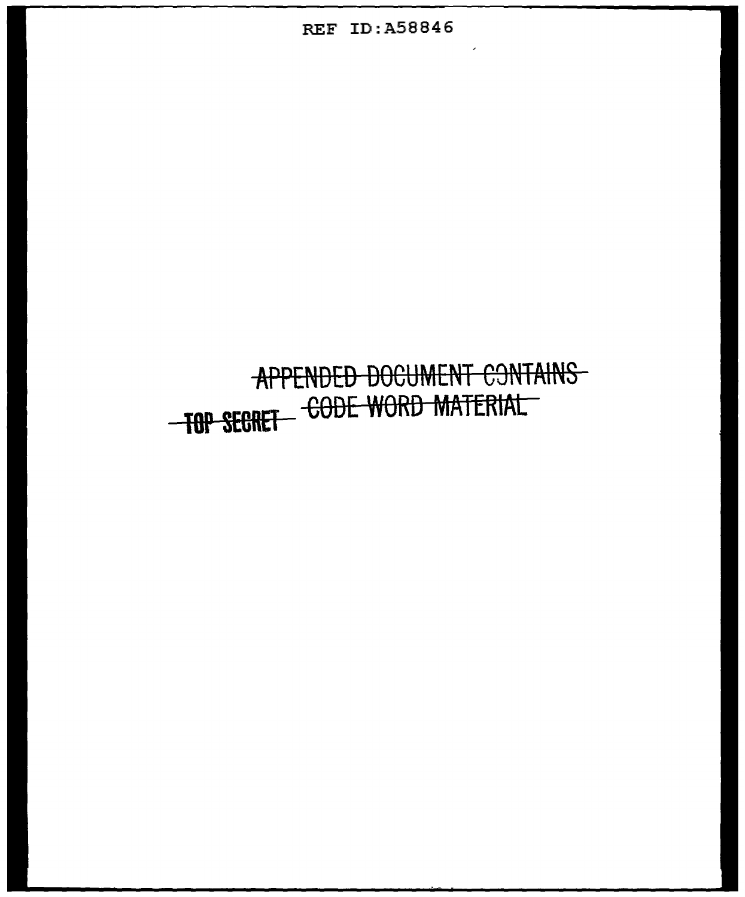### REF ID:A58846

## **APPENDED DOCUMENT CONTAINS** TOP SECRET CODE WORD MATERIAL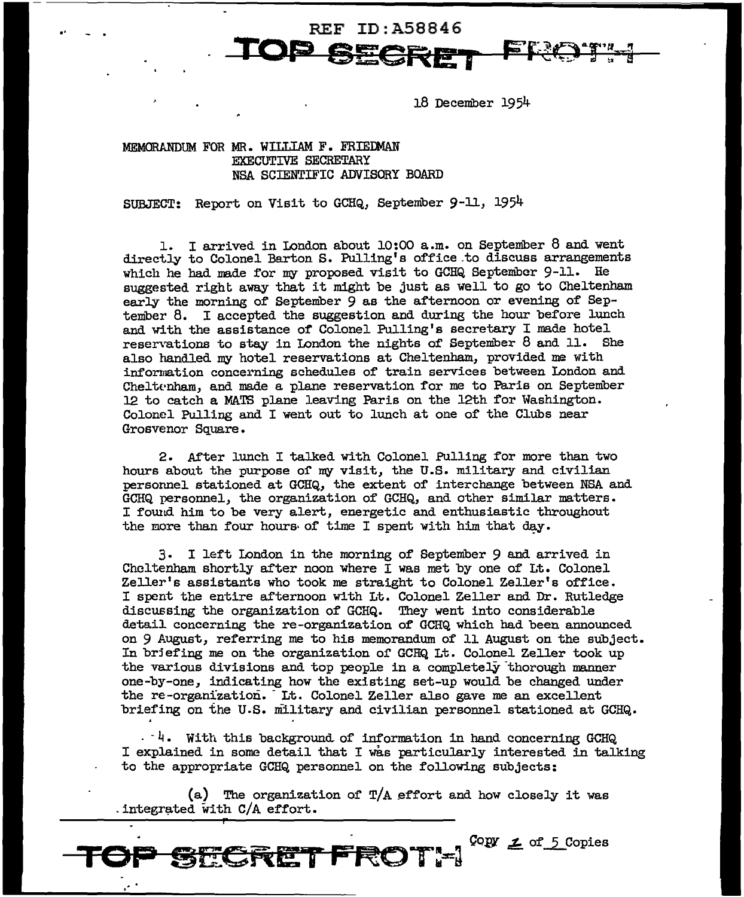18 December 1954

#### MEMORANDUM FOR MR. WILLIAM F. FRIEDMAN EXECUTIVE SECRETARY NSA SCIENTIFIC ADVISORY BOARD

SUBJECT: Report on Visit to GCHQ, September 9-ll, 1954

1. I arrived in London about 10:00 a.m. on September 8 and went directly to Colonel Barton s. Pulling's office.to discuss arrangements which he had made for my proposed visit to GCHQ September 9-11. He suggested right away that it might be just as well to go to Cheltenham early the morning of September 9 as the afternoon or evening of September 8. I accepted the suggestion and during the hour before lunch and with the assistance of Colonel Pulling's secretary I made hotel reservations to stay in London the nights of September 8 and 11. She also handled my hotel reservations at Cheltenham, provided me with information concerning schedules of train services between London and Cheltenham, and made a plane reservation for me to Paris on September 12 to catch a VIA.TS plane leaving Paris on the 12th for Washington. Colonel Pulling and I went out to lunch at one of the Clubs near Grosvenor Square.

REF ID:A58846

**TOP SECRET** 

2. After lunch I talked with Colonel Pulling for more than two hours about the purpose or my visit, the U.S. military and civilian personnel stationed at GCHQ, the extent of interchange between NSA and GCHQ personnel, the organization of GCHQ, and other similar matters. I found him to be very alert, energetic and enthusiastic throughout the more than four hours of time I spent with him that day.

3. I left London in the morning of September 9 and arrived in Cheltenham shortly after noon where I was met by one of Lt. Colonel Zeller's assistants who took me straight to Colonel Zeller's office. I spent the entire afternoon with Lt. Colonel Zeller and Dr. Rutledge discussing the organization of GCHQ. They went into considerable detail. concerning the re-organization of GCHQ which had been announced on 9 August, referring me to his memorandum of 11 August on the subject. In brjefing me on the organization or GCHQ Lt. Colonel Zeller took up the various divisions and top people in a completely thorough manner one-by-one, indicating how the existing set-up would be changed under the re-organization. It. Colonel Zeller also gave me an excellent briefing on the U.S. military and civilian personnel stationed at GCHQ.

 $-$  4. With this background of information in hand concerning GCHQ I explained in some detail that I was particularly interested in talking to the appropriate GCHQ personnel on the following subjects:

(a) The organization or T/A effort and how closely it was . integrated with  $C/A$  effort.

 $Copy \nightharpoondown$  of 5 Copies . ·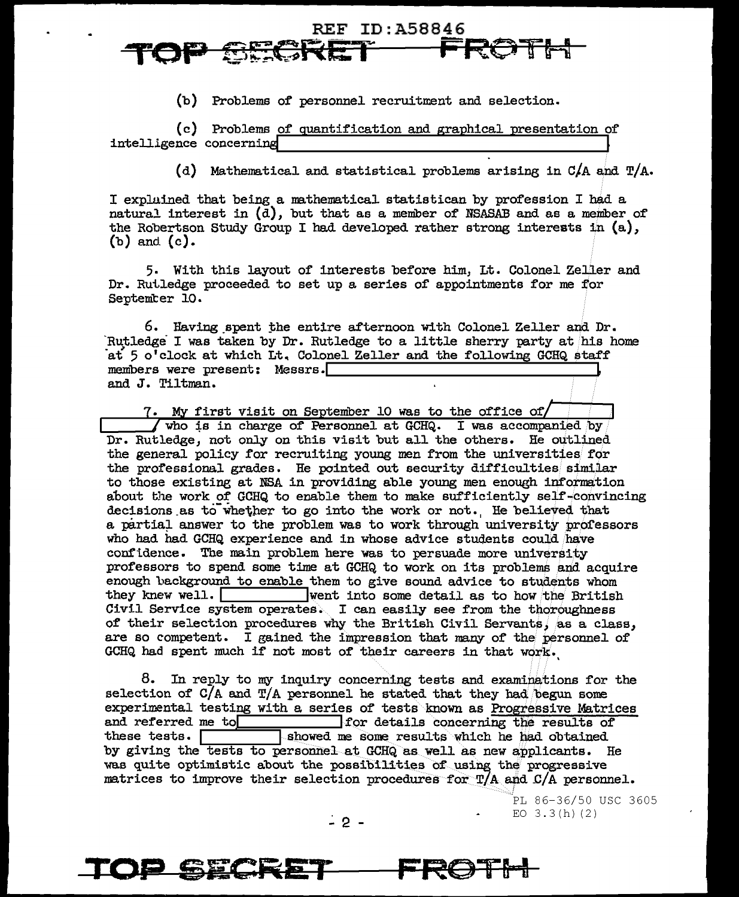## REF ID:A58846 TOP <del>OECRET FROTH</del>

(b) Problems of personnel recruitment and selection.

(c) Problems of quantification and graphical presentation of intelligence concerning

(d) Mathematical and statistical problems arising in  $C/A$  and  $T/A$ .

I explained that being a mathematical statistican by profession I had a natural interest in  $(d)$ , but that as a member of NSASAB and as a member of the Robertson Study Group I had developed rather strong interests in  $(a)$ . (b) and (c).

5. With this layout of interests before him, Lt. Colonel Zeller and Dr. Rutledge proceeded to set up a series of appointments for me for September 10.

6. Having\_spent :the entire afternoon with Colonel Zeller and Dr. Rutledge I was taken by Dr. Rutledge to a little sherry party at his home at 5 o'clock at which Lt. Colonel Zeller and the following GCHQ staff members were present: Messrs.<sup>[1]</sup><br>and J. Tiltman.

7. My first visit on September 10 was to the office of/  $\sqrt{ }$  who is in charge of Personnel at GCHQ. I was accompanied by Dr. Rutledge, not only on this visit but all the others. He outlined. the genera.1 policy for recruiting young men from the universities for the professional grades. He pointed out security difficulties similar to those existing at NSA in providing able young men enough information about the work of GCHQ to enable them to make sufficiently self-convincing decisions as to whether to go into the work or not. He believed that a partial answer to the problem was to work through university professors who had had GCHQ experience and in whose advice students could have confidence. The main problem here was to persuade more university professors to spend some time at GCHQ to work on its problems and acquire enough background to enable them to give sound advice to students whom they knew well.  $\Box$  went into some detail as to how the British Civil Service system operates. I can easily see from the thoroughness of their selection procedures why the British Civil Servants, as a class, are so competent. I gained the impression that many of the personnel of GCHQ had spent much if not most of their careers in that work.

8. In reply to my inquiry concerning tests and examinations for the selection of  $C/A$  and  $T/A$  personnel he stated that they had. begun some experimental testing with a series of tests known as Progressive Matrices and referred me to **lack that the state of the results** of these tests. **I showed me some results** which he had obtained by giving the tests to personnel at GCHQ as well as new applicants. He was quite optimistic about the possibilities of using the progressive matrices to improve their selection procedures for  $T/A$  and  $C/A$  personnel.

> PL 86-36/50 USC 3605  $\frac{1}{2}$  **2** -  $\frac{1}{2}$  -  $\frac{1}{2}$  -  $\frac{1}{2}$  -  $\frac{1}{2}$  -  $\frac{1}{2}$  -  $\frac{1}{2}$  -  $\frac{1}{2}$  -  $\frac{1}{2}$  -  $\frac{1}{2}$  -  $\frac{1}{2}$  -  $\frac{1}{2}$  -  $\frac{1}{2}$  -  $\frac{1}{2}$  -  $\frac{1}{2}$  -  $\frac{1}{2}$  -  $\frac{1}{2}$  -  $\frac{1}{2}$  -

**TOP SECRET FROTB I**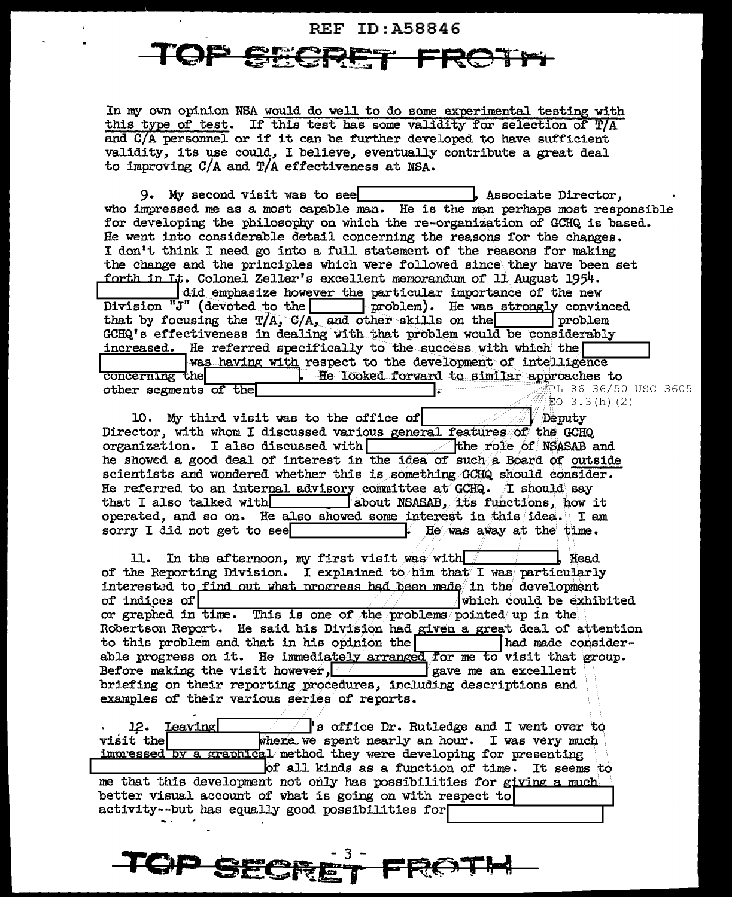# **REF ID: A58846**

In my own opinion NSA would do well to do some experimental testing with this type of test. If this test has some validity for selection of T/A and C/A personnel or if it can be further developed to have sufficient validity, its use could, I believe, eventually contribute a great deal to improving  $C/A$  and  $T/A$  effectiveness at NSA.

9. My second visit was to see . Associate Director. who impressed me as a most capable man. He is the man perhaps most responsible for developing the philosophy on which the re-organization of GCHQ is based. He went into considerable detail concerning the reasons for the changes. I don't think I need go into a full statement of the reasons for making the change and the principles which were followed since they have been set forth in It. Colonel Zeller's excellent memorandum of 11 August 1954. did emphasize however the particular importance of the new Division "J" (devoted to the problem). He was strongly convinced that by focusing the  $T/A$ ,  $C/A$ , and other skills on the | problem GCHQ's effectiveness in dealing with that problem would be considerably increased. He referred specifically to the success with which the was having with respect to the development of intelligence concerning the He looked forward to similar approaches to .<br>PL 86-36/50 USC 3605 other segments of the EO  $3.3(h)$  (2)

10. My third visit was to the office of Deputy Director, with whom I discussed various general features of the GCHQ organization. I also discussed with  $\Box$  the role of NSASAB and he showed a good deal of interest in the idea of such a Board of outside scientists and wondered whether this is something GCHQ should consider. He referred to an internal advisory committee at GCHQ. I should say about NSASAB, its functions, how it that I also talked with operated, and so on. He also showed some interest in this idea. I am sorry I did not get to see He was away at the time.

In the afternoon, my first visit was with Head 11. of the Reporting Division. I explained to him that I was particularly interested to find out what progress had been made in the development of indices of which could be exhibited or graphed in time. This is one of the problems pointed up in the Robertson Report. He said his Division had given a great deal of attention to this problem and that in his opinion the had made considerable progress on it. He immediately arranged for me to visit that group. gave me an excellent Before making the visit however, briefing on their reporting procedures, including descriptions and examples of their various series of reports.

Leaving 's office Dr. Rutledge and I went over to 12. visit the where we spent nearly an hour. I was very much by a graphical method they were developing for presenting <u>impressed</u> of all kinds as a function of time. It seems to me that this development not only has possibilities for giving a much better visual account of what is going on with respect to activity--but has equally good possibilities for

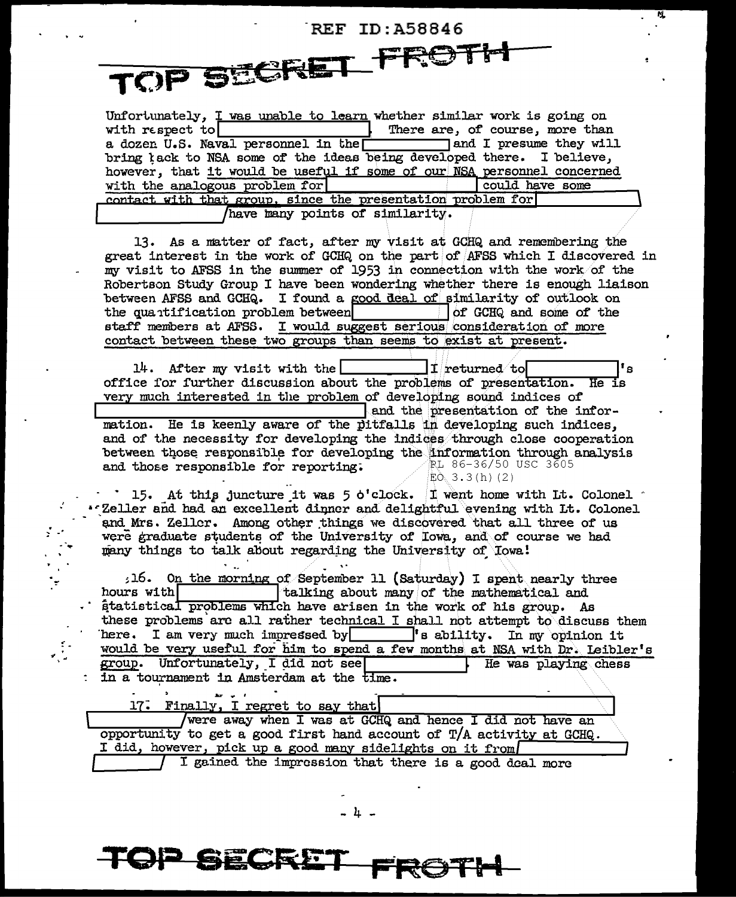**REF ID: A58846** TOP SECRET\_FROTH

Unfortunately, I was unable to learn whether similar work is going on with respect to There are, of course, more than a dozen U.S. Naval personnel in the land I presume they will bring tack to NSA some of the ideas being developed there. I believe, however, that it would be useful if some of our NSA personnel concerned with the analogous problem for could have some contact with that group, since the presentation problem for have many points of similarity.

13. As a matter of fact, after my visit at GCHQ and remembering the great interest in the work of GCHQ on the part of AFSS which I discovered in my visit to AFSS in the summer of 1953 in connection with the work of the Robertson Study Group I have been wondering whether there is enough liaison between AFSS and GCHQ. I found a good deal of similarity of outlook on the quantification problem between of GCHQ and some of the staff members at AFSS. I would suggest serious consideration of more contact between these two groups than seems to exist at present.

 $14.$  After my visit with the  $\bf I$  returned to  $\bf I$ 's office for further discussion about the problems of presentation.  $He$ very much interested in the problem of developing sound indices of and the presentation of the information. He is keenly aware of the pitfalls in developing such indices, and of the necessity for developing the indices through close cooperation between those responsible for developing the information through analysis ≹L 86-36/50 USC 3605 and those responsible for reporting.  $E_0$  3.3(h)(2)

15. At this juncture it was  $5$  o'clock. I went home with Lt. Colonel  $\degree$ . Zeller and had an excellent dinner and delightful evening with Lt. Colonel and Mrs. Zeller. Among other things we discovered that all three of us were graduate students of the University of Iowa, and of course we had many things to talk about regarding the University of Towa!

16. On the morning of September 11 (Saturday) I spent nearly three talking about many of the mathematical and hours with átatistical problems which have arisen in the work of his group. As these problems are all rather technical I shall not attempt to discuss them here. I am very much impressed by <sup>'</sup>s ability. In my opinion it would be very useful for him to spend a few months at NSA with Dr. Leibler's group. Unfortunately, I did not see He was playing chess : in a tournament in Amsterdam at the time.

17. Finally, I regret to say that

<del>- SECRE</del>

 $\mathbf{r} = \mathbf{r}$ 

 $\frac{1}{2}$  .

 $\mathcal{L}_{\mathcal{L}}$ 

were away when I was at GCHQ and hence I did not have an opportunity to get a good first hand account of  $T/A$  activity at GCHQ. I did, however, pick up a good many sidelights on it from I gained the impression that there is a good deal more